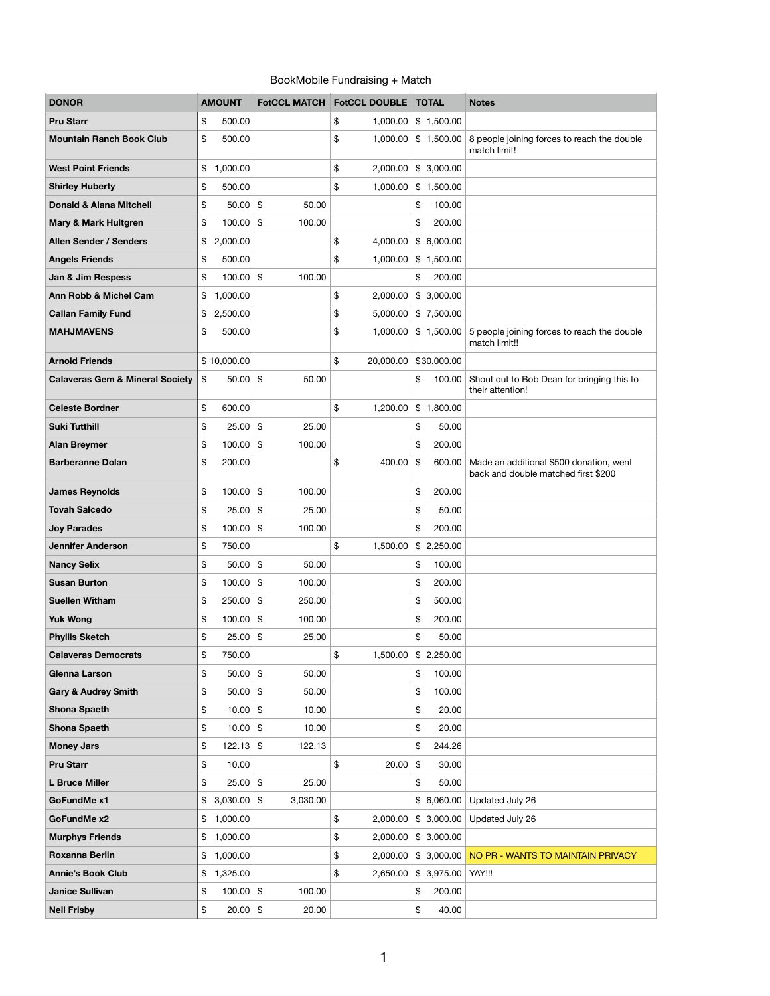## BookMobile Fundraising + Match

| <b>DONOR</b>                               | <b>AMOUNT</b>     |                        | FotCCL MATCH   FotCCL DOUBLE   TOTAL |                                     | <b>Notes</b>                                                                   |
|--------------------------------------------|-------------------|------------------------|--------------------------------------|-------------------------------------|--------------------------------------------------------------------------------|
| <b>Pru Starr</b>                           | \$<br>500.00      |                        | \$<br>1,000.00                       | \$1,500.00                          |                                                                                |
| <b>Mountain Ranch Book Club</b>            | \$<br>500.00      |                        | \$<br>1,000.00                       | \$1,500.00                          | 8 people joining forces to reach the double<br>match limit!                    |
| <b>West Point Friends</b>                  | \$<br>1,000.00    |                        | \$<br>2,000.00                       | \$3,000.00                          |                                                                                |
| <b>Shirley Huberty</b>                     | \$<br>500.00      |                        | \$<br>1,000.00                       | \$1,500.00                          |                                                                                |
| <b>Donald &amp; Alana Mitchell</b>         | \$<br>50.00       | \$<br>50.00            |                                      | 100.00<br>\$                        |                                                                                |
| <b>Mary &amp; Mark Hultgren</b>            | \$<br>100.00      | \$<br>100.00           |                                      | \$<br>200.00                        |                                                                                |
| <b>Allen Sender / Senders</b>              | \$<br>2,000.00    |                        | \$<br>4,000.00                       | \$6,000.00                          |                                                                                |
| <b>Angels Friends</b>                      | \$<br>500.00      |                        | \$<br>1,000.00                       | \$1,500.00                          |                                                                                |
| Jan & Jim Respess                          | \$<br>$100.00$ \$ | 100.00                 |                                      | \$<br>200.00                        |                                                                                |
| <b>Ann Robb &amp; Michel Cam</b>           | \$<br>1,000.00    |                        | \$<br>2,000.00                       | \$3,000.00                          |                                                                                |
| <b>Callan Family Fund</b>                  | \$<br>2,500.00    |                        | \$<br>5,000.00                       | \$7,500.00                          |                                                                                |
| <b>MAHJMAVENS</b>                          | \$<br>500.00      |                        | \$<br>1,000.00                       | \$1,500.00                          | 5 people joining forces to reach the double<br>match limit!!                   |
| <b>Arnold Friends</b>                      | \$10,000.00       |                        | \$<br>20,000.00                      | \$30,000.00                         |                                                                                |
| <b>Calaveras Gem &amp; Mineral Society</b> | \$<br>50.00       | \$<br>50.00            |                                      | \$<br>100.00                        | Shout out to Bob Dean for bringing this to<br>their attention!                 |
| <b>Celeste Bordner</b>                     | \$<br>600.00      |                        | \$<br>1,200.00                       | \$1,800.00                          |                                                                                |
| <b>Suki Tutthill</b>                       | \$<br>25.00       | \$<br>25.00            |                                      | \$<br>50.00                         |                                                                                |
| <b>Alan Breymer</b>                        | \$<br>100.00      | \$<br>100.00           |                                      | \$<br>200.00                        |                                                                                |
| <b>Barberanne Dolan</b>                    | \$<br>200.00      |                        | \$<br>400.00                         | \$<br>600.00                        | Made an additional \$500 donation, went<br>back and double matched first \$200 |
| <b>James Reynolds</b>                      | \$<br>100.00      | \$<br>100.00           |                                      | \$<br>200.00                        |                                                                                |
| <b>Tovah Salcedo</b>                       | \$<br>25.00       | \$<br>25.00            |                                      | \$<br>50.00                         |                                                                                |
| <b>Joy Parades</b>                         | \$<br>100.00      | \$<br>100.00           |                                      | \$<br>200.00                        |                                                                                |
| <b>Jennifer Anderson</b>                   | \$<br>750.00      |                        | \$<br>1,500.00                       | \$2,250.00                          |                                                                                |
| <b>Nancy Selix</b>                         | \$<br>50.00       | $\$\$<br>50.00         |                                      | \$<br>100.00                        |                                                                                |
| <b>Susan Burton</b>                        | \$<br>100.00      | \$<br>100.00           |                                      | 200.00<br>\$                        |                                                                                |
| <b>Suellen Witham</b>                      | \$<br>250.00      | \$<br>250.00           |                                      | \$<br>500.00                        |                                                                                |
| <b>Yuk Wong</b>                            | \$<br>100.00      | $\$\$<br>100.00        |                                      | \$<br>200.00                        |                                                                                |
| <b>Phyllis Sketch</b>                      | 25.00<br>\$       | \$<br>25.00            |                                      | \$<br>50.00                         |                                                                                |
| <b>Calaveras Democrats</b>                 | \$<br>750.00      |                        | \$<br>1,500.00                       | \$2,250.00                          |                                                                                |
| <b>Glenna Larson</b>                       | \$<br>50.00       | $\frac{1}{2}$<br>50.00 |                                      | 100.00<br>\$                        |                                                                                |
| <b>Gary &amp; Audrey Smith</b>             | \$<br>50.00       | \$<br>50.00            |                                      | 100.00<br>\$                        |                                                                                |
| <b>Shona Spaeth</b>                        | \$<br>10.00       | \$<br>10.00            |                                      | \$<br>20.00                         |                                                                                |
| <b>Shona Spaeth</b>                        | \$<br>10.00       | \$<br>10.00            |                                      | \$<br>20.00                         |                                                                                |
| <b>Money Jars</b>                          | 122.13<br>\$      | \$<br>122.13           |                                      | \$<br>244.26                        |                                                                                |
| <b>Pru Starr</b>                           | \$<br>10.00       |                        | \$<br>20.00                          | $\boldsymbol{\mathsf{\$}}$<br>30.00 |                                                                                |
| <b>L Bruce Miller</b>                      | \$<br>25.00       | $\frac{1}{2}$<br>25.00 |                                      | \$<br>50.00                         |                                                                                |
| <b>GoFundMe x1</b>                         | \$<br>3,030.00    | \$<br>3,030.00         |                                      | \$6,060.00                          | Updated July 26                                                                |
| <b>GoFundMe x2</b>                         | \$<br>1,000.00    |                        | \$<br>2,000.00                       | \$3,000.00                          | Updated July 26                                                                |
| <b>Murphys Friends</b>                     | 1,000.00<br>\$    |                        | \$<br>2,000.00                       | \$3,000.00                          |                                                                                |
| <b>Roxanna Berlin</b>                      | \$<br>1,000.00    |                        | \$<br>2,000.00                       | \$3,000.00                          | NO PR - WANTS TO MAINTAIN PRIVACY                                              |
| <b>Annie's Book Club</b>                   | \$<br>1,325.00    |                        | 2,650.00<br>\$                       | \$ 3,975.00 YAY!!!                  |                                                                                |
| <b>Janice Sullivan</b>                     | 100.00<br>\$      | \$<br>100.00           |                                      | 200.00<br>\$                        |                                                                                |
| <b>Neil Frisby</b>                         | \$<br>$20.00$ \\$ | 20.00                  |                                      | \$<br>40.00                         |                                                                                |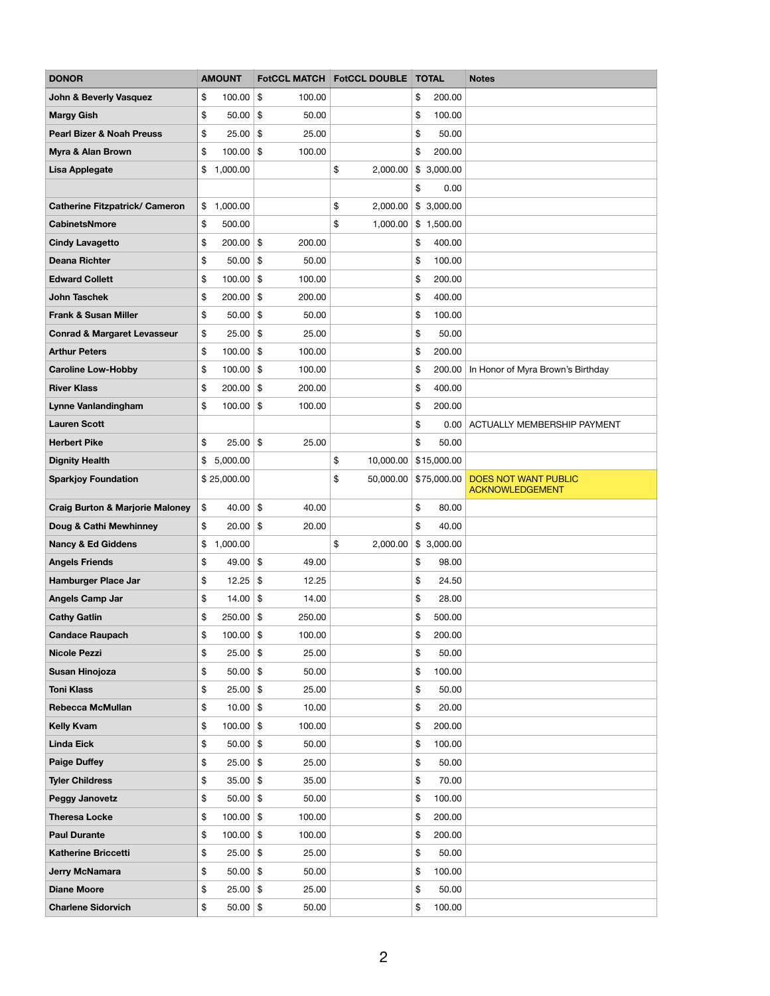| <b>DONOR</b>                               | <b>AMOUNT</b>     |                         | <b>FotCCL MATCH FotCCL DOUBLE</b> | <b>TOTAL</b> | <b>Notes</b>                               |
|--------------------------------------------|-------------------|-------------------------|-----------------------------------|--------------|--------------------------------------------|
| <b>John &amp; Beverly Vasquez</b>          | \$<br>100.00      | $\frac{1}{2}$<br>100.00 |                                   | \$<br>200.00 |                                            |
| <b>Margy Gish</b>                          | \$<br>50.00       | $\frac{3}{2}$<br>50.00  |                                   | \$<br>100.00 |                                            |
| <b>Pearl Bizer &amp; Noah Preuss</b>       | \$<br>25.00       | $\frac{1}{2}$<br>25.00  |                                   | \$<br>50.00  |                                            |
| <b>Myra &amp; Alan Brown</b>               | $100.00$ \$<br>\$ | 100.00                  |                                   | \$<br>200.00 |                                            |
| <b>Lisa Applegate</b>                      | \$<br>1,000.00    |                         | \$<br>2,000.00                    | \$3,000.00   |                                            |
|                                            |                   |                         |                                   | \$<br>0.00   |                                            |
| <b>Catherine Fitzpatrick/ Cameron</b>      | \$<br>1,000.00    |                         | \$<br>2,000.00                    | \$3,000.00   |                                            |
| <b>CabinetsNmore</b>                       | \$<br>500.00      |                         | \$<br>1,000.00                    | \$1,500.00   |                                            |
| <b>Cindy Lavagetto</b>                     | \$<br>200.00      | $\frac{1}{2}$<br>200.00 |                                   | \$<br>400.00 |                                            |
| <b>Deana Richter</b>                       | 50.00<br>\$       | $\sqrt[6]{3}$<br>50.00  |                                   | \$<br>100.00 |                                            |
| <b>Edward Collett</b>                      | \$<br>100.00      | \$<br>100.00            |                                   | \$<br>200.00 |                                            |
| <b>John Taschek</b>                        | \$<br>200.00      | $\frac{1}{2}$<br>200.00 |                                   | \$<br>400.00 |                                            |
| <b>Frank &amp; Susan Miller</b>            | 50.00<br>\$       | $\frac{3}{2}$<br>50.00  |                                   | \$<br>100.00 |                                            |
| <b>Conrad &amp; Margaret Levasseur</b>     | \$<br>25.00       | $\frac{1}{2}$<br>25.00  |                                   | \$<br>50.00  |                                            |
| <b>Arthur Peters</b>                       | \$<br>100.00      | $\frac{1}{2}$<br>100.00 |                                   | \$<br>200.00 |                                            |
| <b>Caroline Low-Hobby</b>                  | 100.00<br>\$      | $\sqrt[6]{3}$<br>100.00 |                                   | \$<br>200.00 | In Honor of Myra Brown's Birthday          |
| <b>River Klass</b>                         | \$<br>200.00      | $\frac{1}{2}$<br>200.00 |                                   | \$<br>400.00 |                                            |
| <b>Lynne Vanlandingham</b>                 | \$<br>100.00      | $\frac{1}{2}$<br>100.00 |                                   | \$<br>200.00 |                                            |
| <b>Lauren Scott</b>                        |                   |                         |                                   | \$<br>0.00   | ACTUALLY MEMBERSHIP PAYMENT                |
| <b>Herbert Pike</b>                        | \$<br>25.00       | $\frac{1}{2}$<br>25.00  |                                   | \$<br>50.00  |                                            |
| <b>Dignity Health</b>                      | 5,000.00<br>\$    |                         | \$<br>10,000.00                   | \$15,000.00  |                                            |
| <b>Sparkjoy Foundation</b>                 | \$25,000.00       |                         | \$                                |              | 50,000.00 \$75,000.00 DOES NOT WANT PUBLIC |
|                                            |                   |                         |                                   |              | <b>ACKNOWLEDGEMENT</b>                     |
| <b>Craig Burton &amp; Marjorie Maloney</b> | $40.00$ \$<br>\$  | 40.00                   |                                   | \$<br>80.00  |                                            |
| Doug & Cathi Mewhinney                     | $20.00$ \$<br>\$  | 20.00                   |                                   | \$<br>40.00  |                                            |
| <b>Nancy &amp; Ed Giddens</b>              | \$<br>1,000.00    |                         | \$<br>2,000.00                    | \$3,000.00   |                                            |
| <b>Angels Friends</b>                      | 49.00 \$<br>\$    | 49.00                   |                                   | \$<br>98.00  |                                            |
| <b>Hamburger Place Jar</b>                 | \$<br>12.25       | $\sqrt{3}$<br>12.25     |                                   | \$<br>24.50  |                                            |
| <b>Angels Camp Jar</b>                     | \$<br>14.00       | \$<br>14.00             |                                   | \$<br>28.00  |                                            |
| <b>Cathy Gatlin</b>                        | \$<br>$250.00$ \$ | 250.00                  |                                   | \$<br>500.00 |                                            |
| <b>Candace Raupach</b>                     | \$<br>$100.00$ \$ | 100.00                  |                                   | \$<br>200.00 |                                            |
| <b>Nicole Pezzi</b>                        | \$<br>25.00       | $\sqrt{3}$<br>25.00     |                                   | \$<br>50.00  |                                            |
| Susan Hinojoza                             | 50.00<br>\$       | $\frac{1}{2}$<br>50.00  |                                   | \$<br>100.00 |                                            |
| <b>Toni Klass</b>                          | $25.00$ \$<br>\$  | 25.00                   |                                   | \$<br>50.00  |                                            |
| <b>Rebecca McMullan</b>                    | 10.00<br>\$       | \$<br>10.00             |                                   | \$<br>20.00  |                                            |
| <b>Kelly Kvam</b>                          | \$<br>100.00      | $\frac{1}{2}$<br>100.00 |                                   | \$<br>200.00 |                                            |
| <b>Linda Eick</b>                          | $50.00$ \$<br>\$  | 50.00                   |                                   | \$<br>100.00 |                                            |
| <b>Paige Duffey</b>                        | 25.00<br>\$       | $\sqrt{3}$<br>25.00     |                                   | \$<br>50.00  |                                            |
| <b>Tyler Childress</b>                     | \$<br>35.00       | $\sqrt{3}$<br>35.00     |                                   | \$<br>70.00  |                                            |
| <b>Peggy Janovetz</b>                      | $50.00$ \$<br>\$  | 50.00                   |                                   | \$<br>100.00 |                                            |
| <b>Theresa Locke</b>                       | \$<br>100.00      | $\frac{1}{2}$<br>100.00 |                                   | \$<br>200.00 |                                            |
| <b>Paul Durante</b>                        | \$<br>$100.00$ \$ | 100.00                  |                                   | \$<br>200.00 |                                            |
| <b>Katherine Briccetti</b>                 | $25.00$ \$<br>\$  | 25.00                   |                                   | 50.00<br>\$  |                                            |
| <b>Jerry McNamara</b>                      | \$<br>$50.00$ \$  | 50.00                   |                                   | \$<br>100.00 |                                            |
| <b>Diane Moore</b>                         | $25.00$ \$<br>\$  | 25.00                   |                                   | \$<br>50.00  |                                            |
| <b>Charlene Sidorvich</b>                  | $50.00$ \$<br>\$  | 50.00                   |                                   | 100.00<br>\$ |                                            |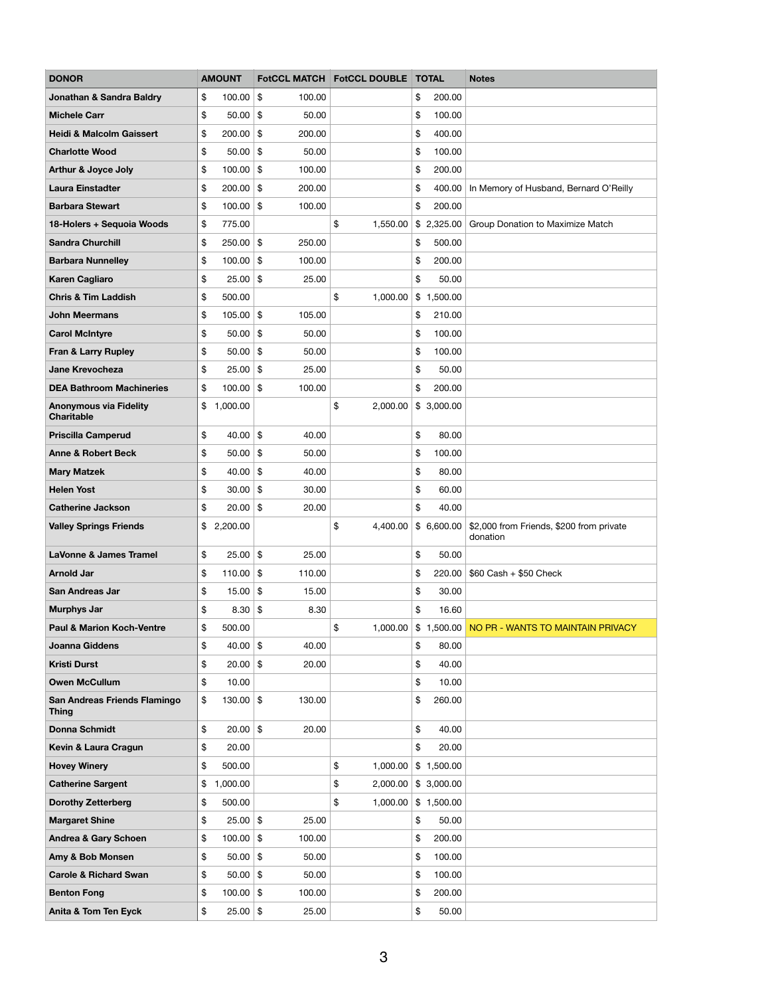| <b>DONOR</b>                                       | <b>AMOUNT</b>     |    | <b>FotCCL MATCH</b> | <b>FotCCL DOUBLE</b> | <b>TOTAL</b> | <b>Notes</b>                                         |
|----------------------------------------------------|-------------------|----|---------------------|----------------------|--------------|------------------------------------------------------|
| <b>Jonathan &amp; Sandra Baldry</b>                | \$<br>100.00      | \$ | 100.00              |                      | \$<br>200.00 |                                                      |
| <b>Michele Carr</b>                                | \$<br>50.00       | \$ | 50.00               |                      | \$<br>100.00 |                                                      |
| <b>Heidi &amp; Malcolm Gaissert</b>                | \$<br>$200.00$ \$ |    | 200.00              |                      | \$<br>400.00 |                                                      |
| <b>Charlotte Wood</b>                              | \$<br>$50.00$ \$  |    | 50.00               |                      | \$<br>100.00 |                                                      |
| <b>Arthur &amp; Joyce Joly</b>                     | \$<br>100.00      | \$ | 100.00              |                      | \$<br>200.00 |                                                      |
| <b>Laura Einstadter</b>                            | \$<br>$200.00$ \$ |    | 200.00              |                      | \$<br>400.00 | In Memory of Husband, Bernard O'Reilly               |
| <b>Barbara Stewart</b>                             | \$<br>$100.00$ \$ |    | 100.00              |                      | \$<br>200.00 |                                                      |
| 18-Holers + Sequoia Woods                          | \$<br>775.00      |    |                     | \$<br>1,550.00       | \$2,325.00   | Group Donation to Maximize Match                     |
| <b>Sandra Churchill</b>                            | \$<br>$250.00$ \$ |    | 250.00              |                      | \$<br>500.00 |                                                      |
| <b>Barbara Nunnelley</b>                           | \$<br>$100.00$ \$ |    | 100.00              |                      | \$<br>200.00 |                                                      |
| <b>Karen Cagliaro</b>                              | \$<br>25.00       | \$ | 25.00               |                      | \$<br>50.00  |                                                      |
| <b>Chris &amp; Tim Laddish</b>                     | \$<br>500.00      |    |                     | \$<br>1,000.00       | \$1,500.00   |                                                      |
| <b>John Meermans</b>                               | \$<br>$105.00$ \$ |    | 105.00              |                      | \$<br>210.00 |                                                      |
| <b>Carol McIntyre</b>                              | \$<br>$50.00$ \$  |    | 50.00               |                      | \$<br>100.00 |                                                      |
| <b>Fran &amp; Larry Rupley</b>                     | \$<br>$50.00$ \$  |    | 50.00               |                      | \$<br>100.00 |                                                      |
| <b>Jane Krevocheza</b>                             | \$<br>$25.00$ \$  |    | 25.00               |                      | \$<br>50.00  |                                                      |
| <b>DEA Bathroom Machineries</b>                    | \$<br>$100.00$ \$ |    | 100.00              |                      | \$<br>200.00 |                                                      |
| <b>Anonymous via Fidelity</b><br><b>Charitable</b> | \$<br>1,000.00    |    |                     | \$<br>2,000.00       | \$3,000.00   |                                                      |
| <b>Priscilla Camperud</b>                          | \$<br>$40.00$ \$  |    | 40.00               |                      | \$<br>80.00  |                                                      |
| <b>Anne &amp; Robert Beck</b>                      | \$<br>50.00       | \$ | 50.00               |                      | \$<br>100.00 |                                                      |
| <b>Mary Matzek</b>                                 | \$<br>40.00       | \$ | 40.00               |                      | \$<br>80.00  |                                                      |
| <b>Helen Yost</b>                                  | \$<br>$30.00$ \$  |    | 30.00               |                      | \$<br>60.00  |                                                      |
| <b>Catherine Jackson</b>                           | \$<br>$20.00$ \$  |    | 20.00               |                      | \$<br>40.00  |                                                      |
| <b>Valley Springs Friends</b>                      | \$<br>2,200.00    |    |                     | \$<br>4,400.00       | \$6,600.00   | \$2,000 from Friends, \$200 from private<br>donation |
| <b>LaVonne &amp; James Tramel</b>                  | \$<br>$25.00$ \$  |    | 25.00               |                      | \$<br>50.00  |                                                      |
| <b>Arnold Jar</b>                                  | \$<br>$110.00$ \$ |    | 110.00              |                      | \$<br>220.00 | $$60$ Cash + $$50$ Check                             |
| <b>San Andreas Jar</b>                             | \$<br>$15.00$ \$  |    | 15.00               |                      | \$<br>30.00  |                                                      |
| <b>Murphys Jar</b>                                 | \$<br>$8.30 $ \$  |    | 8.30                |                      | \$<br>16.60  |                                                      |
| <b>Paul &amp; Marion Koch-Ventre</b>               | \$<br>500.00      |    |                     | \$<br>1,000.00       |              | \$1,500.00 NO PR - WANTS TO MAINTAIN PRIVACY         |
| <b>Joanna Giddens</b>                              | \$<br>$40.00$ \$  |    | 40.00               |                      | \$<br>80.00  |                                                      |
| <b>Kristi Durst</b>                                | \$<br>$20.00$ \$  |    | 20.00               |                      | \$<br>40.00  |                                                      |
| <b>Owen McCullum</b>                               | \$<br>10.00       |    |                     |                      | \$<br>10.00  |                                                      |
| San Andreas Friends Flamingo<br><b>Thing</b>       | \$<br>$130.00$ \$ |    | 130.00              |                      | \$<br>260.00 |                                                      |
| <b>Donna Schmidt</b>                               | \$<br>$20.00$ \$  |    | 20.00               |                      | \$<br>40.00  |                                                      |
| Kevin & Laura Cragun                               | \$<br>20.00       |    |                     |                      | \$<br>20.00  |                                                      |
| <b>Hovey Winery</b>                                | \$<br>500.00      |    |                     | \$<br>1,000.00       | \$1,500.00   |                                                      |
| <b>Catherine Sargent</b>                           | \$<br>1,000.00    |    |                     | \$<br>2,000.00       | \$3,000.00   |                                                      |
| <b>Dorothy Zetterberg</b>                          | \$<br>500.00      |    |                     | \$<br>1,000.00       | \$1,500.00   |                                                      |
| <b>Margaret Shine</b>                              | \$<br>$25.00$ \$  |    | 25.00               |                      | \$<br>50.00  |                                                      |
| <b>Andrea &amp; Gary Schoen</b>                    | \$<br>$100.00$ \$ |    | 100.00              |                      | \$<br>200.00 |                                                      |
| Amy & Bob Monsen                                   | \$<br>$50.00$ \$  |    | 50.00               |                      | \$<br>100.00 |                                                      |
| <b>Carole &amp; Richard Swan</b>                   | \$<br>$50.00$ \$  |    | 50.00               |                      | \$<br>100.00 |                                                      |
| <b>Benton Fong</b>                                 | \$<br>$100.00$ \$ |    | 100.00              |                      | \$<br>200.00 |                                                      |
| <b>Anita &amp; Tom Ten Eyck</b>                    | \$<br>$25.00$ \$  |    | 25.00               |                      | \$<br>50.00  |                                                      |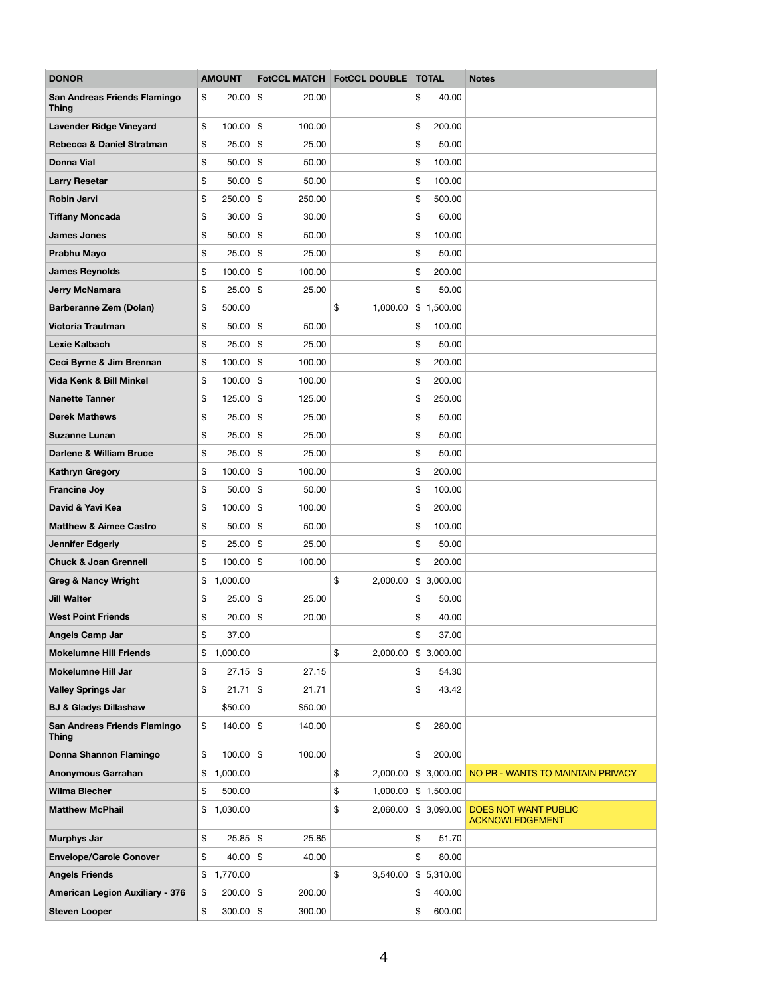| <b>DONOR</b>                                 | <b>AMOUNT</b>     |               |         | FotCCL MATCH FotCCL DOUBLE TOTAL |              | <b>Notes</b>                                          |
|----------------------------------------------|-------------------|---------------|---------|----------------------------------|--------------|-------------------------------------------------------|
| San Andreas Friends Flamingo<br><b>Thing</b> | \$<br>20.00       | $\sqrt{3}$    | 20.00   |                                  | \$<br>40.00  |                                                       |
| <b>Lavender Ridge Vineyard</b>               | \$<br>100.00      | $\frac{1}{2}$ | 100.00  |                                  | \$<br>200.00 |                                                       |
| Rebecca & Daniel Stratman                    | \$<br>25.00       | $\frac{1}{2}$ | 25.00   |                                  | \$<br>50.00  |                                                       |
| <b>Donna Vial</b>                            | \$<br>$50.00$ \$  |               | 50.00   |                                  | \$<br>100.00 |                                                       |
| <b>Larry Resetar</b>                         | \$<br>50.00       | \$            | 50.00   |                                  | \$<br>100.00 |                                                       |
| <b>Robin Jarvi</b>                           | \$<br>250.00      | $\frac{1}{2}$ | 250.00  |                                  | \$<br>500.00 |                                                       |
| <b>Tiffany Moncada</b>                       | \$<br>30.00       | $\sqrt{3}$    | 30.00   |                                  | \$<br>60.00  |                                                       |
| <b>James Jones</b>                           | \$<br>50.00       | $\frac{1}{2}$ | 50.00   |                                  | \$<br>100.00 |                                                       |
| Prabhu Mayo                                  | \$<br>25.00       | $\frac{1}{2}$ | 25.00   |                                  | \$<br>50.00  |                                                       |
| <b>James Reynolds</b>                        | \$<br>100.00      | $\frac{1}{2}$ | 100.00  |                                  | \$<br>200.00 |                                                       |
| <b>Jerry McNamara</b>                        | \$<br>25.00       | $\frac{1}{2}$ | 25.00   |                                  | \$<br>50.00  |                                                       |
| <b>Barberanne Zem (Dolan)</b>                | \$<br>500.00      |               |         | \$<br>1,000.00                   | \$1,500.00   |                                                       |
| <b>Victoria Trautman</b>                     | \$<br>$50.00$ \$  |               | 50.00   |                                  | \$<br>100.00 |                                                       |
| <b>Lexie Kalbach</b>                         | \$<br>25.00       | $\frac{1}{2}$ | 25.00   |                                  | \$<br>50.00  |                                                       |
| Ceci Byrne & Jim Brennan                     | \$<br>$100.00$ \$ |               | 100.00  |                                  | \$<br>200.00 |                                                       |
| Vida Kenk & Bill Minkel                      | \$<br>100.00      | $\frac{1}{2}$ | 100.00  |                                  | \$<br>200.00 |                                                       |
| <b>Nanette Tanner</b>                        | \$<br>125.00      | $\frac{1}{2}$ | 125.00  |                                  | \$<br>250.00 |                                                       |
| <b>Derek Mathews</b>                         | \$<br>$25.00$ \$  |               | 25.00   |                                  | \$<br>50.00  |                                                       |
| <b>Suzanne Lunan</b>                         | \$<br>25.00       | \$            | 25.00   |                                  | \$<br>50.00  |                                                       |
| <b>Darlene &amp; William Bruce</b>           | \$<br>25.00       | $\frac{1}{2}$ | 25.00   |                                  | \$<br>50.00  |                                                       |
| <b>Kathryn Gregory</b>                       | \$<br>100.00      | \$            | 100.00  |                                  | \$<br>200.00 |                                                       |
| <b>Francine Joy</b>                          | \$<br>50.00       | $\frac{1}{2}$ | 50.00   |                                  | \$<br>100.00 |                                                       |
| David & Yavi Kea                             | \$<br>100.00      | $\frac{1}{2}$ | 100.00  |                                  | \$<br>200.00 |                                                       |
| <b>Matthew &amp; Aimee Castro</b>            | \$<br>$50.00$ \$  |               | 50.00   |                                  | \$<br>100.00 |                                                       |
| <b>Jennifer Edgerly</b>                      | \$<br>25.00       | $\frac{1}{2}$ | 25.00   |                                  | \$<br>50.00  |                                                       |
| <b>Chuck &amp; Joan Grennell</b>             | \$<br>100.00      | $\frac{1}{2}$ | 100.00  |                                  | \$<br>200.00 |                                                       |
| <b>Greg &amp; Nancy Wright</b>               | \$<br>1,000.00    |               |         | \$<br>2,000.00                   | \$3,000.00   |                                                       |
| <b>Jill Walter</b>                           | \$<br>25.00       | $\sqrt{3}$    | 25.00   |                                  | \$<br>50.00  |                                                       |
| <b>West Point Friends</b>                    | \$<br>20.00       | $\frac{1}{2}$ | 20.00   |                                  | \$<br>40.00  |                                                       |
| <b>Angels Camp Jar</b>                       | \$<br>37.00       |               |         |                                  | \$<br>37.00  |                                                       |
| <b>Mokelumne Hill Friends</b>                | \$<br>1,000.00    |               |         | \$<br>2,000.00                   | \$3,000.00   |                                                       |
| <b>Mokelumne Hill Jar</b>                    | \$<br>27.15       | $\frac{1}{2}$ | 27.15   |                                  | \$<br>54.30  |                                                       |
| <b>Valley Springs Jar</b>                    | \$<br>21.71       | $\sqrt{3}$    | 21.71   |                                  | \$<br>43.42  |                                                       |
| <b>BJ &amp; Gladys Dillashaw</b>             | \$50.00           |               | \$50.00 |                                  |              |                                                       |
| San Andreas Friends Flamingo<br><b>Thing</b> | \$<br>$140.00$ \$ |               | 140.00  |                                  | \$<br>280.00 |                                                       |
| Donna Shannon Flamingo                       | \$<br>$100.00$ \$ |               | 100.00  |                                  | \$<br>200.00 |                                                       |
| <b>Anonymous Garrahan</b>                    | \$<br>1,000.00    |               |         | \$<br>2,000.00                   | \$3,000.00   | NO PR - WANTS TO MAINTAIN PRIVACY                     |
| <b>Wilma Blecher</b>                         | \$<br>500.00      |               |         | \$<br>1,000.00                   | \$1,500.00   |                                                       |
| <b>Matthew McPhail</b>                       | \$<br>1,030.00    |               |         | \$<br>2,060.00                   | \$3,090.00   | <b>DOES NOT WANT PUBLIC</b><br><b>ACKNOWLEDGEMENT</b> |
| <b>Murphys Jar</b>                           | \$<br>25.85       | \$            | 25.85   |                                  | \$<br>51.70  |                                                       |
| <b>Envelope/Carole Conover</b>               | \$<br>$40.00$ \$  |               | 40.00   |                                  | \$<br>80.00  |                                                       |
| <b>Angels Friends</b>                        | \$<br>1,770.00    |               |         | \$<br>3,540.00                   | \$5,310.00   |                                                       |
| <b>American Legion Auxiliary - 376</b>       | \$<br>$200.00$ \$ |               | 200.00  |                                  | \$<br>400.00 |                                                       |
| <b>Steven Looper</b>                         | \$<br>$300.00$ \$ |               | 300.00  |                                  | \$<br>600.00 |                                                       |